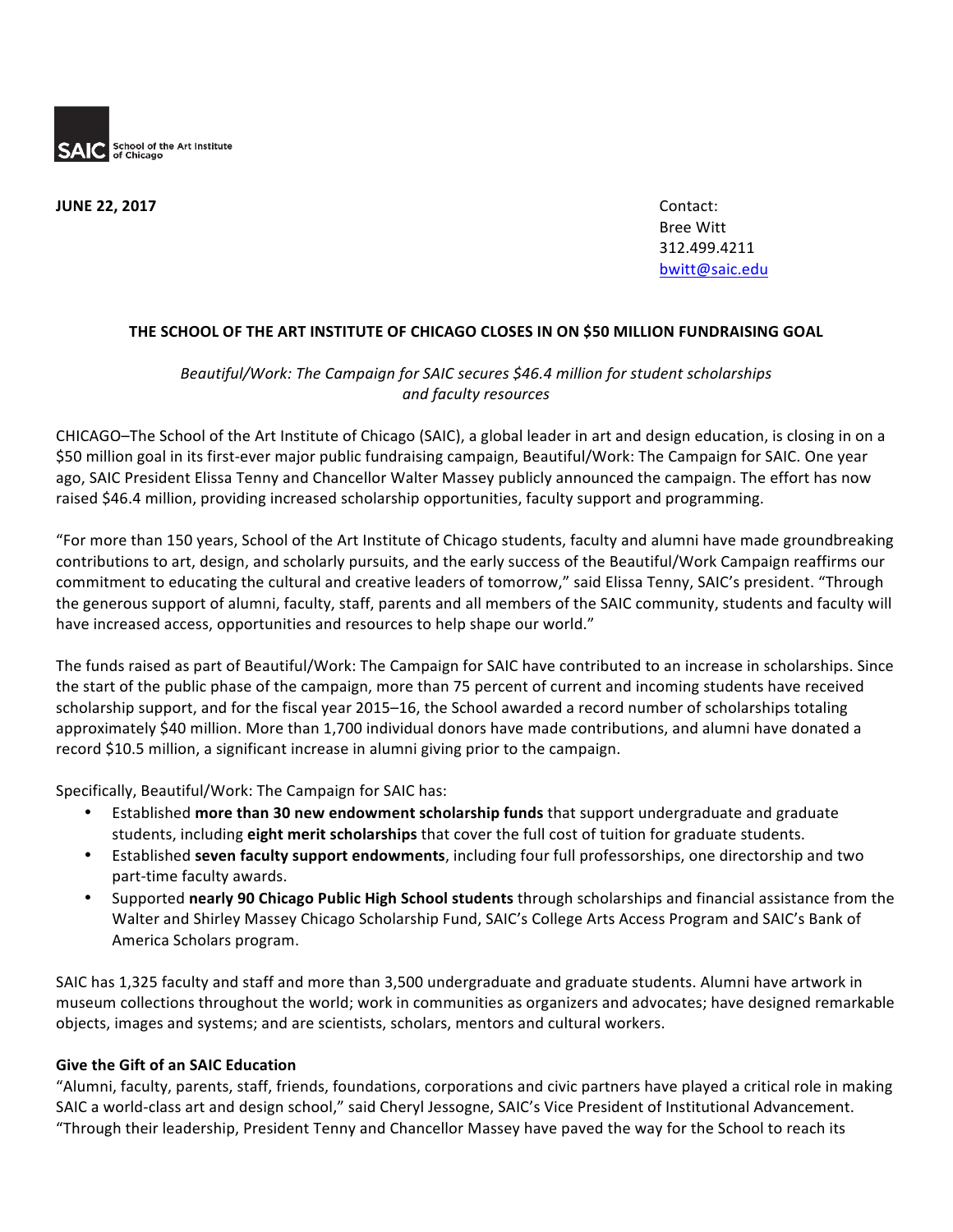

**JUNE 22, 2017** Contact:

Bree Witt 312.499.4211 bwitt@saic.edu

## THE SCHOOL OF THE ART INSTITUTE OF CHICAGO CLOSES IN ON \$50 MILLION FUNDRAISING GOAL

## *Beautiful/Work: The Campaign for SAIC secures \$46.4 million for student scholarships and faculty resources*

CHICAGO–The School of the Art Institute of Chicago (SAIC), a global leader in art and design education, is closing in on a \$50 million goal in its first-ever major public fundraising campaign, Beautiful/Work: The Campaign for SAIC. One year ago, SAIC President Elissa Tenny and Chancellor Walter Massey publicly announced the campaign. The effort has now raised \$46.4 million, providing increased scholarship opportunities, faculty support and programming.

"For more than 150 years, School of the Art Institute of Chicago students, faculty and alumni have made groundbreaking contributions to art, design, and scholarly pursuits, and the early success of the Beautiful/Work Campaign reaffirms our commitment to educating the cultural and creative leaders of tomorrow," said Elissa Tenny, SAIC's president. "Through the generous support of alumni, faculty, staff, parents and all members of the SAIC community, students and faculty will have increased access, opportunities and resources to help shape our world."

The funds raised as part of Beautiful/Work: The Campaign for SAIC have contributed to an increase in scholarships. Since the start of the public phase of the campaign, more than 75 percent of current and incoming students have received scholarship support, and for the fiscal year 2015–16, the School awarded a record number of scholarships totaling approximately \$40 million. More than 1,700 individual donors have made contributions, and alumni have donated a record \$10.5 million, a significant increase in alumni giving prior to the campaign.

Specifically, Beautiful/Work: The Campaign for SAIC has:

- **Established more than 30 new endowment scholarship funds that support undergraduate and graduate** students, including eight merit scholarships that cover the full cost of tuition for graduate students.
- Established seven faculty support endowments, including four full professorships, one directorship and two part-time faculty awards.
- Supported nearly 90 Chicago Public High School students through scholarships and financial assistance from the Walter and Shirley Massey Chicago Scholarship Fund, SAIC's College Arts Access Program and SAIC's Bank of America Scholars program.

SAIC has 1,325 faculty and staff and more than 3,500 undergraduate and graduate students. Alumni have artwork in museum collections throughout the world; work in communities as organizers and advocates; have designed remarkable objects, images and systems; and are scientists, scholars, mentors and cultural workers.

## **Give the Gift of an SAIC Education**

"Alumni, faculty, parents, staff, friends, foundations, corporations and civic partners have played a critical role in making SAIC a world-class art and design school," said Cheryl Jessogne, SAIC's Vice President of Institutional Advancement. "Through their leadership, President Tenny and Chancellor Massey have paved the way for the School to reach its